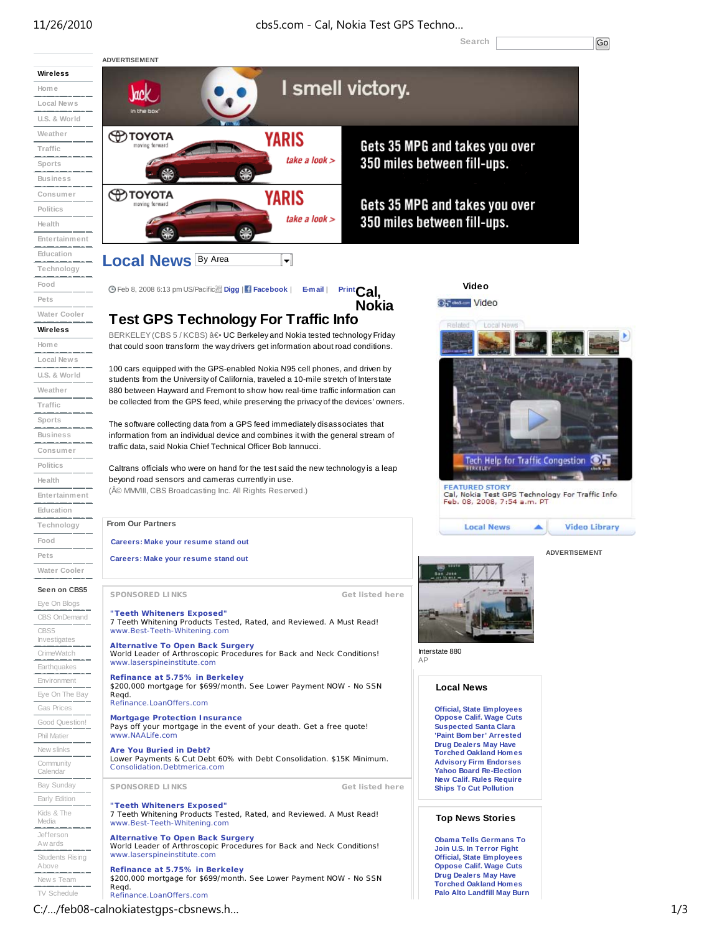# 11/26/2010 cbs5.com - Cal, Nokia Test GPS Techno…

Search **Go** 

**ADVERTISEMENT Wireless** I smell victory. **Home Vack Local News** in the b **U.S. & World Weather OD TOYOTA YARIS** Gets 35 MPG and takes you over **Traffic** take a look  $\geq$ 350 miles between fill-ups. **Sports Business ФТОҮОТА Consumer** YARIS Gets 35 MPG and takes you over noving forwar **Politics** take a look  $>$ 350 miles between fill-ups. **Health Entertainment Education Local News By Area** ⊣ **Technology Food Video** Feb 8, 2008 6:13 pm US/Pacific **Digg** | **Facebook** | **E-mail**<sup>|</sup>**PrintCal, Pets** Or dasar Video **Nokia Water Cooler Test GPS Technology For Traffic Info Wireless** BERKELEY (CBS 5 / KCBS) â e UC Berkeley and Nokia tested technology Friday **Home** that could soon transform the way drivers get information about road conditions. **Local News** 100 cars equipped with the GPS-enabled Nokia N95 cell phones, and driven by **U.S. & World** students from the University of California, traveled a 10-mile stretch of Interstate **Weather** 880 between Hayward and Fremont to show how real-time traffic information can be collected from the GPS feed, while preserving the privacy of the devices' owners. **Traffic Sports** The software collecting data from a GPS feed immediately disassociates that information from an individual device and combines it with the general stream of **Business** traffic data, said Nokia Chief Technical Officer Bob Iannucci. **Consumer Tech Help for Traffic Congestion** דמ **Politics** Caltrans officials who were on hand for the test said the new technology is a leap beyond road sensors and cameras currently in use. **Health** FEATURED STORY<br>Cal, Nokia Test GPS Technology For Traffic Info (© MMVIII, CBS Broadcasting Inc. All Rights Reserved.) **Entertainment** Feb. 08, 2008, 7:54 a.m. PT **Education From Our Partners Technology Local News Video Library** ▴ **Food Careers: Make your resume stand out ADVERTISEMENT Pets Careers: Make your resume stand out Water Cooler Seen on CBS5 SPONSORED LINKS Get listed here** Eye On Blogs **"Teeth Whiteners Exposed"** CBS OnDemand 7 Teeth Whitening Products Tested, Rated, and Reviewed. A Must Read! CBS5 www.Best-Teeth-Whitening.com Investi **Alternative To Open Back Surgery** World Leader of Arthroscopic Procedures for Back and Neck Conditions! Interstate 880 CrimeWatch AP www.laserspineinstitute.com **Earthquakes Refinance at 5.75% in Berkeley** Environment \$200,000 mortgage for \$699/month. See Lower Payment NOW - No SSN **Local News** Eye On The Bay Reqd. Refinance.LoanOffers.com Gas Prices **Official, State Employees Mortgage Protection Insurance Oppose Calif. Wage Cuts** Good Question! Pays off your mortgage in the event of your death. Get a free quote! **Suspected Santa Clara** Phil Matier www.NAALife.com **'Paint Bomber' Arrested Drug Dealers May Have** New slinks **Are You Buried in Debt? Torched Oakland Homes** Lower Payments & Cut Debt 60% with Debt Consolidation. \$15K Minimum. **Advisory Firm Endorses Community** C onsolidation.Debtmerica.com **Yahoo Board Re-Election** Calenda **New Calif. Rules Require** Bay Sunday **SPONSORED LINKS Get listed here Ships To Cut Pollution** Early Edition **"Teeth Whiteners Exposed"** Kids & The 7 Teeth Whitening Products Tested, Rated, and Reviewed. A Must Read! **Top News Stories** Media www.Best-Teeth-Whitening.com Jefferson **Alternative To Open Back Surgery Obama Tells Germans To** Aw ards World Leader of Arthroscopic Procedures for Back and Neck Conditions! **Join U.S. In Terror Fight** www.laserspineinstitute.com Students Rising **Official, State Employees** Above **Oppose Calif. Wage Cuts Refinance at 5.75% in Berkeley** \$200,000 mortgage for \$699/month. See Lower Payment NOW - No SSN **Drug Dealers May Have** New s Team **Torched Oakland Homes** Reqd. TV Schedule **Palo Alto Landfill May Burn** Refinance.LoanOffers.com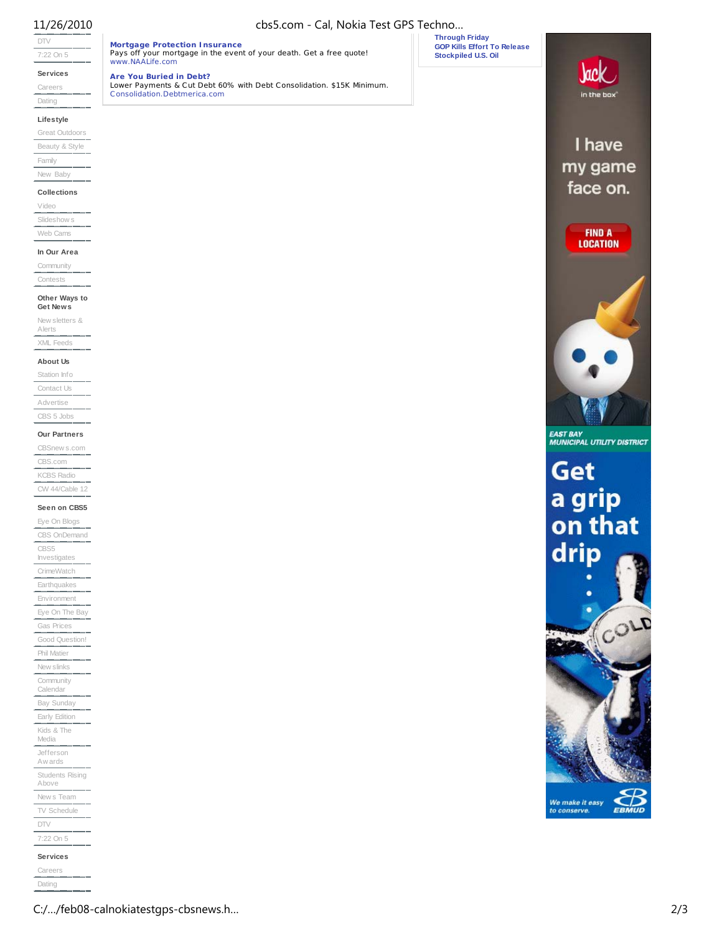www.NAALife.com **Are You Buried in Debt?**

# DTV

7:22 On 5

**Services**

Careers

Dating

#### **Lifestyle**

Great Outdoors Beauty & Style Family

## New Baby

**Collections**

# Video

Slideshow s Web Cams

# **In Our Area**

Community

Contests

### **Other Ways to Get News**

New sletters & Alerts XML Feeds

### **About Us**

Station Info Contact Us Advertise CBS 5 Jobs

#### **Our Partners**

CBSnew s.com CBS.com KCBS Radio CW 44/Cable 12

### **Seen on CBS5**

Eye On Blogs CBS OnDemand CBS5 Investigates CrimeWatch Earthquakes Environment Eye On The Bay Gas Prices Good Question! Phil Matier New slinks Community Calendar Bay Sunday Early Edition Kids & The Media Jefferson Aw ards Students Rising Above New s Team TV Schedule DTV 7:22 On 5 **Services**

Careers Dating

11/26/2010 cbs5.com - Cal, Nokia Test GPS Techno…

**Mortgage Protection Insurance** Pays off your mortgage in the event of your death. Get a free quote!

Lower Payments & Cut Debt 60% with Debt Consolidation. \$15K Minimum. C onsolidation.Debtmerica.com

**Through Friday GOP Kills Effort To Release Stockpiled U.S. Oil**

in the box I have my game face on. **FIND A LOCATION** 

Jack

# **EAST BAY<br>MUNICIPAL UTILITY DISTRICT**